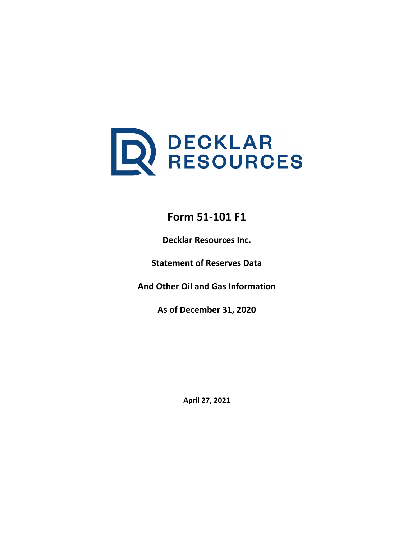

# **Form 51-101 F1**

**Decklar Resources Inc.**

**Statement of Reserves Data**

**And Other Oil and Gas Information**

**As of December 31, 2020**

**April 27, 2021**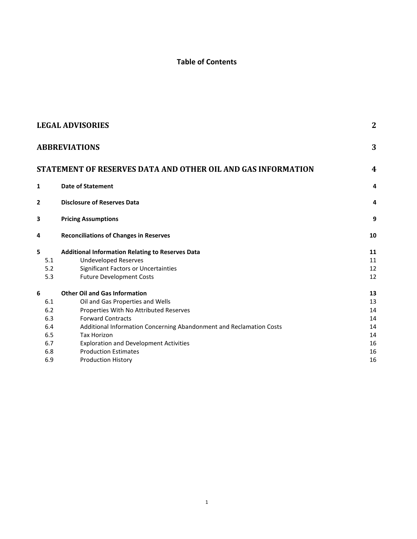# **Table of Contents**

|     | <b>LEGAL ADVISORIES</b>                                             | $\mathbf{2}$   |
|-----|---------------------------------------------------------------------|----------------|
|     | <b>ABBREVIATIONS</b>                                                | 3              |
|     | STATEMENT OF RESERVES DATA AND OTHER OIL AND GAS INFORMATION        | $\overline{4}$ |
| 1   | <b>Date of Statement</b>                                            | 4              |
| 2   | <b>Disclosure of Reserves Data</b>                                  | 4              |
| 3   | <b>Pricing Assumptions</b>                                          | 9              |
| 4   | <b>Reconciliations of Changes in Reserves</b>                       | 10             |
| 5   | <b>Additional Information Relating to Reserves Data</b>             | 11             |
| 5.1 | <b>Undeveloped Reserves</b>                                         | 11             |
| 5.2 | Significant Factors or Uncertainties                                | 12             |
| 5.3 | <b>Future Development Costs</b>                                     | 12             |
| 6   | <b>Other Oil and Gas Information</b>                                | 13             |
| 6.1 | Oil and Gas Properties and Wells                                    | 13             |
| 6.2 | Properties With No Attributed Reserves                              | 14             |
| 6.3 | <b>Forward Contracts</b>                                            | 14             |
| 6.4 | Additional Information Concerning Abandonment and Reclamation Costs | 14             |
| 6.5 | <b>Tax Horizon</b>                                                  | 14             |
| 6.7 | <b>Exploration and Development Activities</b>                       | 16             |
| 6.8 | <b>Production Estimates</b>                                         | 16             |
| 6.9 | <b>Production History</b>                                           | 16             |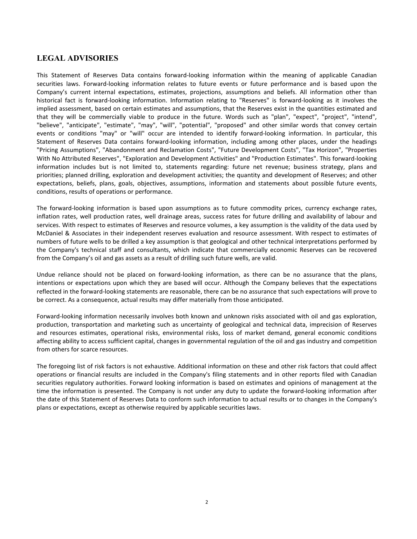### <span id="page-2-0"></span>**LEGAL ADVISORIES**

This Statement of Reserves Data contains forward-looking information within the meaning of applicable Canadian securities laws. Forward-looking information relates to future events or future performance and is based upon the Company's current internal expectations, estimates, projections, assumptions and beliefs. All information other than historical fact is forward-looking information. Information relating to "Reserves" is forward-looking as it involves the implied assessment, based on certain estimates and assumptions, that the Reserves exist in the quantities estimated and that they will be commercially viable to produce in the future. Words such as "plan", "expect", "project", "intend", "believe", "anticipate", "estimate", "may", "will", "potential", "proposed" and other similar words that convey certain events or conditions "may" or "will" occur are intended to identify forward-looking information. In particular, this Statement of Reserves Data contains forward-looking information, including among other places, under the headings "Pricing Assumptions", "Abandonment and Reclamation Costs", "Future Development Costs", "Tax Horizon", "Properties With No Attributed Reserves", "Exploration and Development Activities" and "Production Estimates". This forward-looking information includes but is not limited to, statements regarding: future net revenue; business strategy, plans and priorities; planned drilling, exploration and development activities; the quantity and development of Reserves; and other expectations, beliefs, plans, goals, objectives, assumptions, information and statements about possible future events, conditions, results of operations or performance.

The forward-looking information is based upon assumptions as to future commodity prices, currency exchange rates, inflation rates, well production rates, well drainage areas, success rates for future drilling and availability of labour and services. With respect to estimates of Reserves and resource volumes, a key assumption is the validity of the data used by McDaniel & Associates in their independent reserves evaluation and resource assessment. With respect to estimates of numbers of future wells to be drilled a key assumption is that geological and other technical interpretations performed by the Company's technical staff and consultants, which indicate that commercially economic Reserves can be recovered from the Company's oil and gas assets as a result of drilling such future wells, are valid.

Undue reliance should not be placed on forward-looking information, as there can be no assurance that the plans, intentions or expectations upon which they are based will occur. Although the Company believes that the expectations reflected in the forward-looking statements are reasonable, there can be no assurance that such expectations will prove to be correct. As a consequence, actual results may differ materially from those anticipated.

Forward-looking information necessarily involves both known and unknown risks associated with oil and gas exploration, production, transportation and marketing such as uncertainty of geological and technical data, imprecision of Reserves and resources estimates, operational risks, environmental risks, loss of market demand, general economic conditions affecting ability to access sufficient capital, changes in governmental regulation of the oil and gas industry and competition from others for scarce resources.

The foregoing list of risk factors is not exhaustive. Additional information on these and other risk factors that could affect operations or financial results are included in the Company's filing statements and in other reports filed with Canadian securities regulatory authorities. Forward looking information is based on estimates and opinions of management at the time the information is presented. The Company is not under any duty to update the forward-looking information after the date of this Statement of Reserves Data to conform such information to actual results or to changes in the Company's plans or expectations, except as otherwise required by applicable securities laws.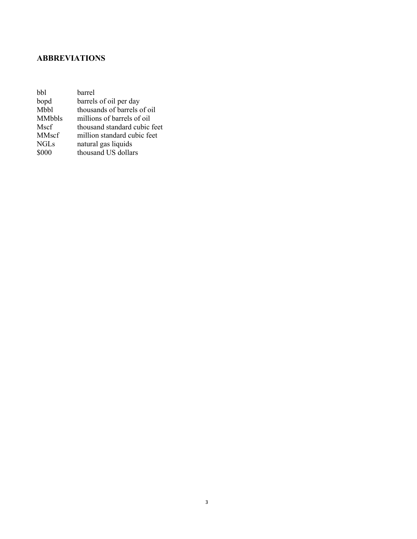# <span id="page-3-0"></span>**ABBREVIATIONS**

| hhl           | barrel                       |
|---------------|------------------------------|
| bopd          | barrels of oil per day       |
| Mbbl          | thousands of barrels of oil  |
| <b>MMbbls</b> | millions of barrels of oil   |
| Mscf          | thousand standard cubic feet |
| MMscf         | million standard cubic feet  |
| <b>NGLs</b>   | natural gas liquids          |
| \$000         | thousand US dollars          |
|               |                              |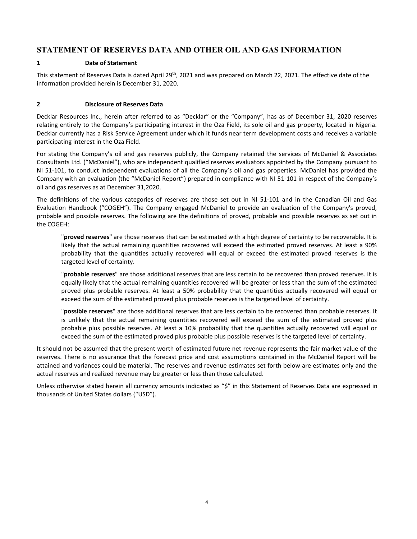### <span id="page-4-0"></span>**STATEMENT OF RESERVES DATA AND OTHER OIL AND GAS INFORMATION**

#### <span id="page-4-1"></span>**1 Date of Statement**

This statement of Reserves Data is dated April 29<sup>th</sup>, 2021 and was prepared on March 22, 2021. The effective date of the information provided herein is December 31, 2020.

#### <span id="page-4-2"></span>**2 Disclosure of Reserves Data**

Decklar Resources Inc., herein after referred to as "Decklar" or the "Company", has as of December 31, 2020 reserves relating entirely to the Company's participating interest in the Oza Field, its sole oil and gas property, located in Nigeria. Decklar currently has a Risk Service Agreement under which it funds near term development costs and receives a variable participating interest in the Oza Field.

For stating the Company's oil and gas reserves publicly, the Company retained the services of McDaniel & Associates Consultants Ltd. ("McDaniel"), who are independent qualified reserves evaluators appointed by the Company pursuant to NI 51-101, to conduct independent evaluations of all the Company's oil and gas properties. McDaniel has provided the Company with an evaluation (the "McDaniel Report") prepared in compliance with NI 51-101 in respect of the Company's oil and gas reserves as at December 31,2020.

The definitions of the various categories of reserves are those set out in NI 51-101 and in the Canadian Oil and Gas Evaluation Handbook ("COGEH"). The Company engaged McDaniel to provide an evaluation of the Company's proved, probable and possible reserves. The following are the definitions of proved, probable and possible reserves as set out in the COGEH:

"**proved reserves**" are those reserves that can be estimated with a high degree of certainty to be recoverable. It is likely that the actual remaining quantities recovered will exceed the estimated proved reserves. At least a 90% probability that the quantities actually recovered will equal or exceed the estimated proved reserves is the targeted level of certainty.

"**probable reserves**" are those additional reserves that are less certain to be recovered than proved reserves. It is equally likely that the actual remaining quantities recovered will be greater or less than the sum of the estimated proved plus probable reserves. At least a 50% probability that the quantities actually recovered will equal or exceed the sum of the estimated proved plus probable reserves is the targeted level of certainty.

"**possible reserves**" are those additional reserves that are less certain to be recovered than probable reserves. It is unlikely that the actual remaining quantities recovered will exceed the sum of the estimated proved plus probable plus possible reserves. At least a 10% probability that the quantities actually recovered will equal or exceed the sum of the estimated proved plus probable plus possible reserves is the targeted level of certainty.

It should not be assumed that the present worth of estimated future net revenue represents the fair market value of the reserves. There is no assurance that the forecast price and cost assumptions contained in the McDaniel Report will be attained and variances could be material. The reserves and revenue estimates set forth below are estimates only and the actual reserves and realized revenue may be greater or less than those calculated.

Unless otherwise stated herein all currency amounts indicated as "\$" in this Statement of Reserves Data are expressed in thousands of United States dollars ("USD").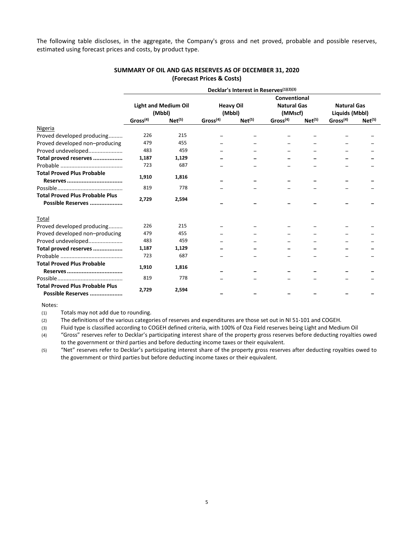The following table discloses, in the aggregate, the Company's gross and net proved, probable and possible reserves, estimated using forecast prices and costs, by product type.

|                                                             | Decklar's Interest in Reserves <sup>(1)(2)(3)</sup> |                             |                      |                    |                      |                    |                      |                    |  |  |
|-------------------------------------------------------------|-----------------------------------------------------|-----------------------------|----------------------|--------------------|----------------------|--------------------|----------------------|--------------------|--|--|
|                                                             |                                                     |                             |                      |                    | Conventional         |                    |                      |                    |  |  |
|                                                             |                                                     | <b>Light and Medium Oil</b> |                      | <b>Heavy Oil</b>   | <b>Natural Gas</b>   |                    | <b>Natural Gas</b>   |                    |  |  |
|                                                             |                                                     | (Mbbl)                      |                      | (Mbbl)             |                      | (MMscf)            |                      | Liquids (Mbbl)     |  |  |
|                                                             | Gross <sup>(4)</sup>                                | Net <sup>(5)</sup>          | Gross <sup>(4)</sup> | Net <sup>(5)</sup> | Gross <sup>(4)</sup> | Net <sup>(5)</sup> | Gross <sup>(4)</sup> | Net <sup>(5)</sup> |  |  |
| Nigeria                                                     |                                                     |                             |                      |                    |                      |                    |                      |                    |  |  |
| Proved developed producing                                  | 226                                                 | 215                         |                      |                    |                      |                    |                      |                    |  |  |
| Proved developed non-producing                              | 479                                                 | 455                         |                      |                    |                      |                    |                      |                    |  |  |
| Proved undeveloped                                          | 483                                                 | 459                         |                      |                    |                      |                    |                      |                    |  |  |
| Total proved reserves                                       | 1,187                                               | 1,129                       |                      |                    |                      |                    |                      |                    |  |  |
|                                                             | 723                                                 | 687                         |                      |                    |                      |                    |                      |                    |  |  |
| <b>Total Proved Plus Probable</b>                           | 1,910                                               | 1,816                       |                      |                    |                      |                    |                      |                    |  |  |
|                                                             | 819                                                 | 778                         |                      |                    |                      |                    |                      |                    |  |  |
| <b>Total Proved Plus Probable Plus</b><br>Possible Reserves | 2,729                                               | 2,594                       |                      |                    |                      |                    |                      |                    |  |  |
| Total                                                       |                                                     |                             |                      |                    |                      |                    |                      |                    |  |  |
| Proved developed producing                                  | 226                                                 | 215                         |                      |                    |                      |                    |                      |                    |  |  |
| Proved developed non-producing                              | 479                                                 | 455                         |                      |                    |                      |                    |                      |                    |  |  |
| Proved undeveloped                                          | 483                                                 | 459                         |                      |                    |                      |                    |                      |                    |  |  |
| Total proved reserves                                       | 1,187                                               | 1,129                       |                      |                    |                      |                    |                      |                    |  |  |
|                                                             | 723                                                 | 687                         |                      |                    |                      |                    |                      |                    |  |  |
| <b>Total Proved Plus Probable</b>                           | 1,910                                               | 1,816                       |                      |                    |                      |                    |                      |                    |  |  |
|                                                             | 819                                                 | 778                         |                      |                    |                      |                    |                      |                    |  |  |
| <b>Total Proved Plus Probable Plus</b><br>Possible Reserves | 2,729                                               | 2,594                       |                      |                    |                      |                    |                      |                    |  |  |

#### **SUMMARY OF OIL AND GAS RESERVES AS OF DECEMBER 31, 2020 (Forecast Prices & Costs)**

Notes:

(1) Totals may not add due to rounding.

(2) The definitions of the various categories of reserves and expenditures are those set out in NI 51-101 and COGEH.

(3) Fluid type is classified according to COGEH defined criteria, with 100% of Oza Field reserves being Light and Medium Oil

(4) "Gross" reserves refer to Decklar's participating interest share of the property gross reserves before deducting royalties owed to the government or third parties and before deducting income taxes or their equivalent.

(5) "Net" reserves refer to Decklar's participating interest share of the property gross reserves after deducting royalties owed to the government or third parties but before deducting income taxes or their equivalent.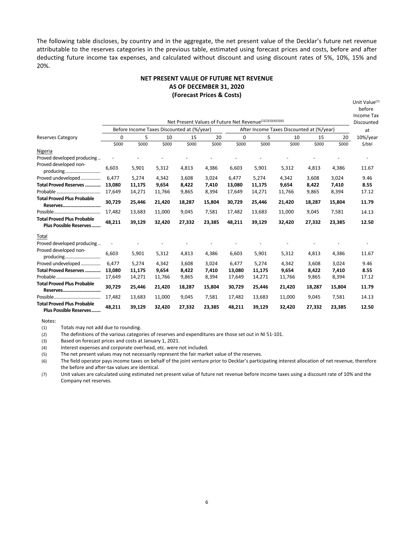The following table discloses, by country and in the aggregate, the net present value of the Decklar's future net revenue attributable to the reserves categories in the previous table, estimated using forecast prices and costs, before and after deducting future income tax expenses, and calculated without discount and using discount rates of 5%, 10%, 15% and 20%.

#### **NET PRESENT VALUE OF FUTURE NET REVENUE AS OF DECEMBER 31, 2020 (Forecast Prices & Costs)**

Unit Value<sup>(7)</sup>

|                                                             |        |        |                                            |        |        |          |                                                            |        |        |        | before     |
|-------------------------------------------------------------|--------|--------|--------------------------------------------|--------|--------|----------|------------------------------------------------------------|--------|--------|--------|------------|
|                                                             |        |        |                                            |        |        |          |                                                            |        |        |        | Income Tax |
|                                                             |        |        |                                            |        |        |          | Net Present Values of Future Net Revenue(1)(2)(3)(4)(5)(6) |        |        |        | Discounted |
|                                                             |        |        | Before Income Taxes Discounted at (%/year) |        |        |          | After Income Taxes Discounted at (%/year)                  |        |        |        | at         |
| <b>Reserves Category</b>                                    | 0      | 5      | 10                                         | 15     | 20     | $\Omega$ | 5                                                          | 10     | 15     | 20     | 10%/year   |
|                                                             | \$000  | \$000  | \$000                                      | \$000  | \$000  | \$000    | \$000                                                      | \$000  | \$000  | \$000  | \$/bbl     |
| Nigeria                                                     |        |        |                                            |        |        |          |                                                            |        |        |        |            |
| Proved developed producing                                  |        |        |                                            |        |        |          |                                                            |        |        |        |            |
| Proved developed non-<br>producing                          | 6,603  | 5,901  | 5,312                                      | 4,813  | 4,386  | 6,603    | 5,901                                                      | 5,312  | 4,813  | 4,386  | 11.67      |
| Proved undeveloped                                          | 6,477  | 5.274  | 4,342                                      | 3,608  | 3.024  | 6.477    | 5.274                                                      | 4,342  | 3,608  | 3,024  | 9.46       |
| Total Proved Reserves                                       | 13,080 | 11,175 | 9,654                                      | 8,422  | 7,410  | 13,080   | 11,175                                                     | 9,654  | 8,422  | 7,410  | 8.55       |
|                                                             | 17,649 | 14,271 | 11,766                                     | 9,865  | 8,394  | 17,649   | 14,271                                                     | 11,766 | 9,865  | 8,394  | 17.12      |
| <b>Total Proved Plus Probable</b><br>Reserves               | 30,729 | 25,446 | 21,420                                     | 18,287 | 15,804 | 30,729   | 25,446                                                     | 21,420 | 18,287 | 15,804 | 11.79      |
|                                                             | 17,482 | 13,683 | 11,000                                     | 9,045  | 7,581  | 17,482   | 13,683                                                     | 11,000 | 9,045  | 7,581  | 14.13      |
| <b>Total Proved Plus Probable</b>                           | 48,211 | 39,129 | 32,420                                     | 27,332 | 23,385 | 48,211   | 39,129                                                     | 32,420 | 27,332 | 23,385 | 12.50      |
| <b>Plus Possible Reserves</b>                               |        |        |                                            |        |        |          |                                                            |        |        |        |            |
| Total                                                       |        |        |                                            |        |        |          |                                                            |        |        |        |            |
| Proved developed producing                                  |        |        |                                            |        |        |          |                                                            |        |        |        |            |
| Proved developed non-<br>producing                          | 6,603  | 5,901  | 5,312                                      | 4,813  | 4,386  | 6,603    | 5,901                                                      | 5,312  | 4,813  | 4,386  | 11.67      |
| Proved undeveloped                                          | 6,477  | 5.274  | 4.342                                      | 3,608  | 3.024  | 6.477    | 5,274                                                      | 4,342  | 3,608  | 3,024  | 9.46       |
| Total Proved Reserves                                       | 13,080 | 11,175 | 9,654                                      | 8,422  | 7,410  | 13,080   | 11,175                                                     | 9,654  | 8,422  | 7,410  | 8.55       |
|                                                             | 17,649 | 14,271 | 11,766                                     | 9,865  | 8,394  | 17,649   | 14,271                                                     | 11,766 | 9,865  | 8,394  | 17.12      |
| <b>Total Proved Plus Probable</b><br>Reserves               | 30,729 | 25,446 | 21,420                                     | 18,287 | 15,804 | 30,729   | 25,446                                                     | 21,420 | 18,287 | 15,804 | 11.79      |
|                                                             | 17,482 | 13,683 | 11,000                                     | 9,045  | 7,581  | 17,482   | 13,683                                                     | 11,000 | 9,045  | 7,581  | 14.13      |
| <b>Total Proved Plus Probable</b><br>Plus Possible Reserves | 48,211 | 39,129 | 32,420                                     | 27,332 | 23,385 | 48,211   | 39,129                                                     | 32,420 | 27,332 | 23,385 | 12.50      |

Notes:

(1) Totals may not add due to rounding.

(2) The definitions of the various categories of reserves and expenditures are those set out in NI 51-101.

(3) Based on forecast prices and costs at January 1, 2021.

(4) Interest expenses and corporate overhead, etc. were not included.

(5) The net present values may not necessarily represent the fair market value of the reserves.

(6) The field operator pays income taxes on behalf of the joint venture prior to Decklar's participating interest allocation of net revenue, therefore the before and after-tax values are identical.

(7) Unit values are calculated using estimated net present value of future net revenue before income taxes using a discount rate of 10% and the Company net reserves.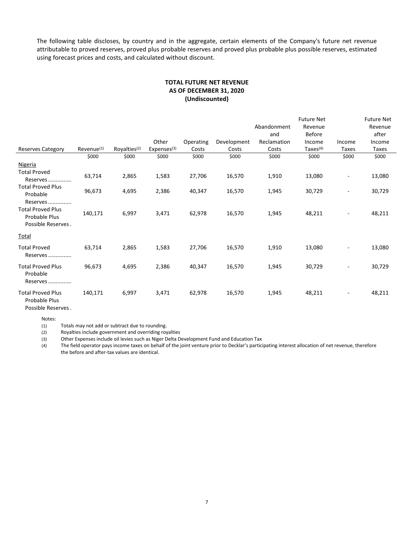The following table discloses, by country and in the aggregate, certain elements of the Company's future net revenue attributable to proved reserves, proved plus probable reserves and proved plus probable plus possible reserves, estimated using forecast prices and costs, and calculated without discount.

#### **TOTAL FUTURE NET REVENUE AS OF DECEMBER 31, 2020 (Undiscounted)**

|                                                                             |                        |                          |                         |           |             |                    | <b>Future Net</b>        |                          | <b>Future Net</b> |
|-----------------------------------------------------------------------------|------------------------|--------------------------|-------------------------|-----------|-------------|--------------------|--------------------------|--------------------------|-------------------|
|                                                                             |                        |                          |                         |           |             | Abandonment<br>and | Revenue<br><b>Before</b> |                          | Revenue<br>after  |
|                                                                             |                        |                          | Other                   | Operating | Development | Reclamation        | Income                   | Income                   | Income            |
| <b>Reserves Category</b>                                                    | Revenue <sup>(1)</sup> | Royalties <sup>(2)</sup> | Expenses <sup>(3)</sup> | Costs     | Costs       | Costs              | Taxes $(4)$              | <b>Taxes</b>             | Taxes             |
|                                                                             | \$000                  | \$000                    | \$000                   | \$000     | \$000       | \$000              | \$000                    | \$000                    | \$000             |
| Nigeria                                                                     |                        |                          |                         |           |             |                    |                          |                          |                   |
| <b>Total Proved</b><br>Reserves                                             | 63,714                 | 2,865                    | 1,583                   | 27,706    | 16,570      | 1,910              | 13,080                   | ۰.                       | 13,080            |
| <b>Total Proved Plus</b><br>Probable                                        | 96,673                 | 4,695                    | 2,386                   | 40,347    | 16,570      | 1,945              | 30,729                   | $\overline{\phantom{a}}$ | 30,729            |
| Reserves<br><b>Total Proved Plus</b><br>Probable Plus<br>Possible Reserves. | 140,171                | 6,997                    | 3,471                   | 62,978    | 16,570      | 1,945              | 48,211                   | ٠                        | 48,211            |
| Total                                                                       |                        |                          |                         |           |             |                    |                          |                          |                   |
| <b>Total Proved</b><br>Reserves                                             | 63,714                 | 2,865                    | 1,583                   | 27,706    | 16,570      | 1,910              | 13,080                   | $\overline{\phantom{a}}$ | 13,080            |
| <b>Total Proved Plus</b><br>Probable<br>Reserves                            | 96,673                 | 4,695                    | 2,386                   | 40,347    | 16,570      | 1,945              | 30,729                   | $\overline{\phantom{a}}$ | 30,729            |
| <b>Total Proved Plus</b><br>Probable Plus                                   | 140,171                | 6,997                    | 3,471                   | 62,978    | 16,570      | 1,945              | 48,211                   |                          | 48,211            |

Possible Reserves..

Notes:

(1) Totals may not add or subtract due to rounding.

(2) Royalties include government and overriding royalties

(3) Other Expenses include oil levies such as Niger Delta Development Fund and Education Tax

(4) The field operator pays income taxes on behalf of the joint venture prior to Decklar's participating interest allocation of net revenue, therefore the before and after-tax values are identical.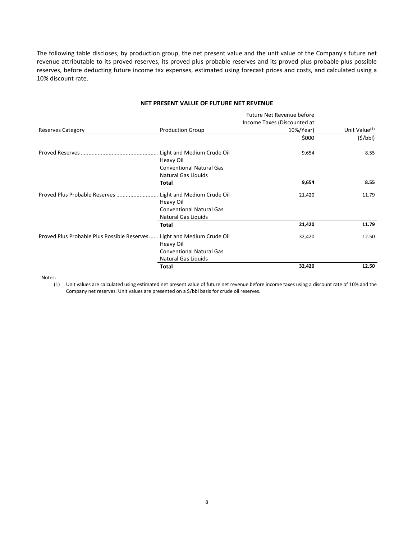The following table discloses, by production group, the net present value and the unit value of the Company's future net revenue attributable to its proved reserves, its proved plus probable reserves and its proved plus probable plus possible reserves, before deducting future income tax expenses, estimated using forecast prices and costs, and calculated using a 10% discount rate.

#### **NET PRESENT VALUE OF FUTURE NET REVENUE**

|                                             |                                 | Future Net Revenue before   |                           |
|---------------------------------------------|---------------------------------|-----------------------------|---------------------------|
|                                             |                                 | Income Taxes (Discounted at |                           |
| <b>Reserves Category</b>                    | <b>Production Group</b>         | 10%/Year)                   | Unit Value <sup>(1)</sup> |
|                                             |                                 | \$000                       | (S/bbl)                   |
|                                             | Heavy Oil                       | 9,654                       | 8.55                      |
|                                             | <b>Conventional Natural Gas</b> |                             |                           |
|                                             | Natural Gas Liquids             |                             |                           |
|                                             | <b>Total</b>                    | 9,654                       | 8.55                      |
| Proved Plus Probable Reserves               | Light and Medium Crude Oil      | 21,420                      | 11.79                     |
|                                             | Heavy Oil                       |                             |                           |
|                                             | <b>Conventional Natural Gas</b> |                             |                           |
|                                             | Natural Gas Liquids             |                             |                           |
|                                             | Total                           | 21,420                      | 11.79                     |
| Proved Plus Probable Plus Possible Reserves | Light and Medium Crude Oil      | 32,420                      | 12.50                     |
|                                             | Heavy Oil                       |                             |                           |
|                                             | <b>Conventional Natural Gas</b> |                             |                           |
|                                             | Natural Gas Liquids             |                             |                           |
|                                             | Total                           | 32,420                      | 12.50                     |

Notes:

(1) Unit values are calculated using estimated net present value of future net revenue before income taxes using a discount rate of 10% and the Company net reserves. Unit values are presented on a \$/bbl basis for crude oil reserves.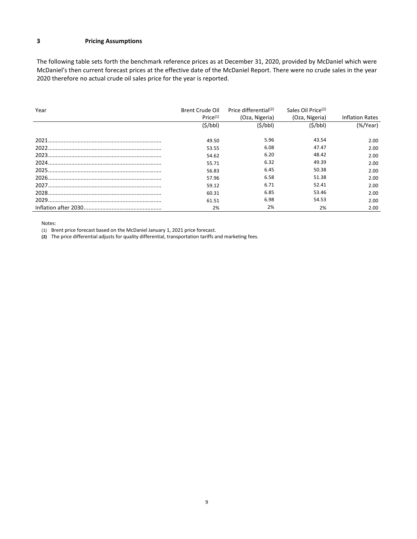#### <span id="page-9-0"></span>**3 Pricing Assumptions**

The following table sets forth the benchmark reference prices as at December 31, 2020, provided by McDaniel which were McDaniel's then current forecast prices at the effective date of the McDaniel Report. There were no crude sales in the year 2020 therefore no actual crude oil sales price for the year is reported.

| Year | Brent Crude Oil      | Price differential(2) | Sales Oil Price <sup>(2)</sup> |                        |
|------|----------------------|-----------------------|--------------------------------|------------------------|
|      | Price <sup>(1)</sup> | (Oza, Nigeria)        | (Oza, Nigeria)                 | <b>Inflation Rates</b> |
|      | (S/bbl)              | (S/bbl)               | (S/bbl)                        | $(\%$ /Year)           |
|      | 49.50                | 5.96                  | 43.54                          | 2.00                   |
|      | 53.55                | 6.08                  | 47.47                          | 2.00                   |
|      | 54.62                | 6.20                  | 48.42                          | 2.00                   |
|      | 55.71                | 6.32                  | 49.39                          | 2.00                   |
|      | 56.83                | 6.45                  | 50.38                          | 2.00                   |
|      | 57.96                | 6.58                  | 51.38                          | 2.00                   |
|      | 59.12                | 6.71                  | 52.41                          | 2.00                   |
|      | 60.31                | 6.85                  | 53.46                          | 2.00                   |
|      | 61.51                | 6.98                  | 54.53                          | 2.00                   |
|      | 2%                   | 2%                    | 2%                             | 2.00                   |

Notes:

(1) Brent price forecast based on the McDaniel January 1, 2021 price forecast.

**(2)** The price differential adjusts for quality differential, transportation tariffs and marketing fees.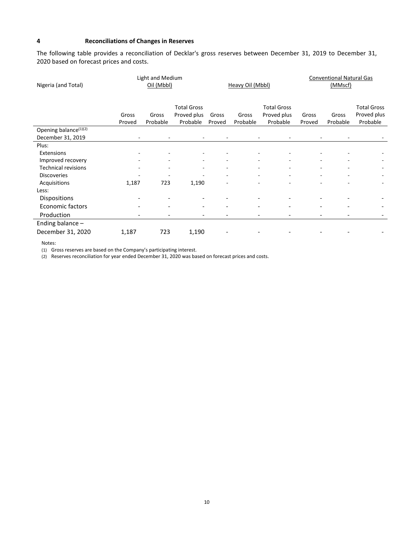#### <span id="page-10-0"></span>**4 Reconciliations of Changes in Reserves**

The following table provides a reconciliation of Decklar's gross reserves between December 31, 2019 to December 31, 2020 based on forecast prices and costs.

| Light and Medium                  |        |            |                    |        |                  |                    | <b>Conventional Natural Gas</b> |          |                    |
|-----------------------------------|--------|------------|--------------------|--------|------------------|--------------------|---------------------------------|----------|--------------------|
| Nigeria (and Total)               |        | Oil (Mbbl) |                    |        | Heavy Oil (Mbbl) |                    |                                 | (MMscf)  |                    |
|                                   |        |            |                    |        |                  |                    |                                 |          |                    |
|                                   |        |            | <b>Total Gross</b> |        |                  | <b>Total Gross</b> |                                 |          | <b>Total Gross</b> |
|                                   | Gross  | Gross      | Proved plus        | Gross  | Gross            | Proved plus        | Gross                           | Gross    | Proved plus        |
|                                   | Proved | Probable   | Probable           | Proved | Probable         | Probable           | Proved                          | Probable | Probable           |
| Opening balance <sup>(1)(2)</sup> |        |            |                    |        |                  |                    |                                 |          |                    |
| December 31, 2019                 |        |            |                    |        |                  |                    |                                 |          |                    |
| Plus:                             |        |            |                    |        |                  |                    |                                 |          |                    |
| Extensions                        |        |            |                    |        |                  |                    |                                 |          |                    |
| Improved recovery                 |        |            |                    |        |                  |                    |                                 |          |                    |
| <b>Technical revisions</b>        |        |            |                    |        |                  |                    |                                 |          |                    |
| <b>Discoveries</b>                |        |            |                    |        |                  |                    |                                 |          |                    |
| Acquisitions                      | 1,187  | 723        | 1,190              |        | ٠                | ٠                  |                                 |          |                    |
| Less:                             |        |            |                    |        |                  |                    |                                 |          |                    |
| <b>Dispositions</b>               |        |            |                    |        |                  |                    |                                 |          |                    |
| <b>Economic factors</b>           |        |            |                    |        |                  |                    |                                 |          |                    |
| Production                        |        |            |                    |        |                  |                    |                                 |          |                    |
| Ending balance-                   |        |            |                    |        |                  |                    |                                 |          |                    |
| December 31, 2020                 | 1,187  | 723        | 1,190              |        |                  |                    |                                 |          |                    |

Notes:

(1) Gross reserves are based on the Company's participating interest.

(2) Reserves reconciliation for year ended December 31, 2020 was based on forecast prices and costs.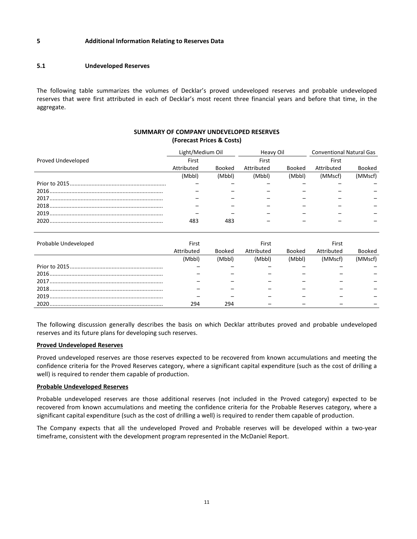#### <span id="page-11-0"></span>**5 Additional Information Relating to Reserves Data**

#### <span id="page-11-1"></span>**5.1 Undeveloped Reserves**

The following table summarizes the volumes of Decklar's proved undeveloped reserves and probable undeveloped reserves that were first attributed in each of Decklar's most recent three financial years and before that time, in the aggregate.

#### **SUMMARY OF COMPANY UNDEVELOPED RESERVES (Forecast Prices & Costs)**

|                    | Light/Medium Oil |        | Heavy Oil  |               | <b>Conventional Natural Gas</b> |               |
|--------------------|------------------|--------|------------|---------------|---------------------------------|---------------|
| Proved Undeveloped | First            |        | First      |               | First                           |               |
|                    | Attributed       | Booked | Attributed | <b>Booked</b> | Attributed                      | <b>Booked</b> |
|                    | (Mbbl)           | (Mbbl) | (Mbbl)     | (Mbbl)        | (MMscf)                         | (MMscf)       |
|                    |                  |        |            |               |                                 |               |
|                    |                  |        |            |               |                                 |               |
|                    |                  |        |            |               |                                 |               |
|                    |                  |        |            |               |                                 |               |
|                    |                  |        |            |               |                                 |               |
|                    | 483              | 483    |            |               |                                 |               |
|                    |                  |        |            |               |                                 |               |

| Probable Undeveloped | First      |               | First      |               | First      |         |
|----------------------|------------|---------------|------------|---------------|------------|---------|
|                      | Attributed | <b>Booked</b> | Attributed | <b>Booked</b> | Attributed | Booked  |
|                      | (Mbbl)     | (Mbbl)        | (Mbbl)     | (Mbbl)        | (MMscf)    | (MMscf) |
|                      |            |               |            |               |            |         |
|                      |            |               |            |               |            |         |
|                      |            |               |            |               |            |         |
|                      |            |               |            |               |            |         |
|                      |            |               |            |               |            |         |
| 2020.                | 294        | 294           |            |               |            |         |

The following discussion generally describes the basis on which Decklar attributes proved and probable undeveloped reserves and its future plans for developing such reserves.

#### **Proved Undeveloped Reserves**

Proved undeveloped reserves are those reserves expected to be recovered from known accumulations and meeting the confidence criteria for the Proved Reserves category, where a significant capital expenditure (such as the cost of drilling a well) is required to render them capable of production.

#### **Probable Undeveloped Reserves**

Probable undeveloped reserves are those additional reserves (not included in the Proved category) expected to be recovered from known accumulations and meeting the confidence criteria for the Probable Reserves category, where a significant capital expenditure (such as the cost of drilling a well) is required to render them capable of production.

The Company expects that all the undeveloped Proved and Probable reserves will be developed within a two-year timeframe, consistent with the development program represented in the McDaniel Report.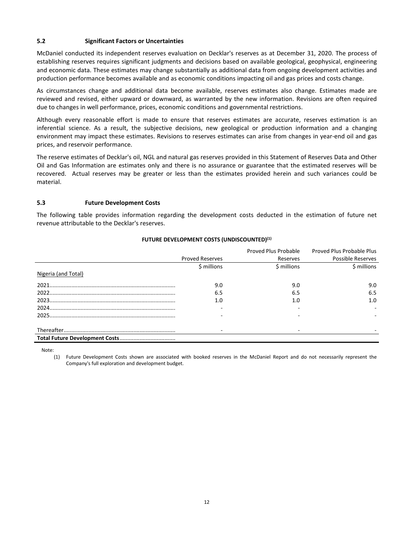#### <span id="page-12-0"></span>**5.2 Significant Factors or Uncertainties**

McDaniel conducted its independent reserves evaluation on Decklar's reserves as at December 31, 2020. The process of establishing reserves requires significant judgments and decisions based on available geological, geophysical, engineering and economic data. These estimates may change substantially as additional data from ongoing development activities and production performance becomes available and as economic conditions impacting oil and gas prices and costs change.

As circumstances change and additional data become available, reserves estimates also change. Estimates made are reviewed and revised, either upward or downward, as warranted by the new information. Revisions are often required due to changes in well performance, prices, economic conditions and governmental restrictions.

Although every reasonable effort is made to ensure that reserves estimates are accurate, reserves estimation is an inferential science. As a result, the subjective decisions, new geological or production information and a changing environment may impact these estimates. Revisions to reserves estimates can arise from changes in year-end oil and gas prices, and reservoir performance.

The reserve estimates of Decklar's oil, NGL and natural gas reserves provided in this Statement of Reserves Data and Other Oil and Gas Information are estimates only and there is no assurance or guarantee that the estimated reserves will be recovered. Actual reserves may be greater or less than the estimates provided herein and such variances could be material.

#### <span id="page-12-1"></span>**5.3 Future Development Costs**

The following table provides information regarding the development costs deducted in the estimation of future net revenue attributable to the Decklar's reserves.

|                     |                        | Proved Plus Probable | Proved Plus Probable Plus |
|---------------------|------------------------|----------------------|---------------------------|
|                     | <b>Proved Reserves</b> | Reserves             | Possible Reserves         |
|                     | \$ millions            | \$ millions          | \$ millions               |
| Nigeria (and Total) |                        |                      |                           |
|                     | 9.0                    | 9.0                  | 9.0                       |
|                     | 6.5                    | 6.5                  | 6.5                       |
|                     | 1.0                    | 1.0                  | 1.0                       |
|                     |                        |                      |                           |
|                     |                        |                      |                           |
|                     |                        |                      |                           |
|                     |                        |                      |                           |

#### **FUTURE DEVELOPMENT COSTS (UNDISCOUNTED)(1)**

Note:

(1) Future Development Costs shown are associated with booked reserves in the McDaniel Report and do not necessarily represent the Company's full exploration and development budget.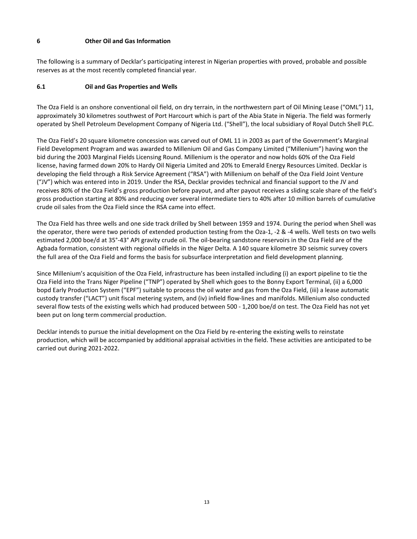#### <span id="page-13-0"></span>**6 Other Oil and Gas Information**

The following is a summary of Decklar's participating interest in Nigerian properties with proved, probable and possible reserves as at the most recently completed financial year.

#### <span id="page-13-1"></span>**6.1 Oil and Gas Properties and Wells**

The Oza Field is an onshore conventional oil field, on dry terrain, in the northwestern part of Oil Mining Lease ("OML") 11, approximately 30 kilometres southwest of Port Harcourt which is part of the Abia State in Nigeria. The field was formerly operated by Shell Petroleum Development Company of Nigeria Ltd. ("Shell"), the local subsidiary of Royal Dutch Shell PLC.

The Oza Field's 20 square kilometre concession was carved out of OML 11 in 2003 as part of the Government's Marginal Field Development Program and was awarded to Millenium Oil and Gas Company Limited ("Millenium") having won the bid during the 2003 Marginal Fields Licensing Round. Millenium is the operator and now holds 60% of the Oza Field license, having farmed down 20% to Hardy Oil Nigeria Limited and 20% to Emerald Energy Resources Limited. Decklar is developing the field through a Risk Service Agreement ("RSA") with Millenium on behalf of the Oza Field Joint Venture ("JV") which was entered into in 2019. Under the RSA, Decklar provides technical and financial support to the JV and receives 80% of the Oza Field's gross production before payout, and after payout receives a sliding scale share of the field's gross production starting at 80% and reducing over several intermediate tiers to 40% after 10 million barrels of cumulative crude oil sales from the Oza Field since the RSA came into effect.

The Oza Field has three wells and one side track drilled by Shell between 1959 and 1974. During the period when Shell was the operator, there were two periods of extended production testing from the Oza-1, -2 & -4 wells. Well tests on two wells estimated 2,000 boe/d at 35°-43° API gravity crude oil. The oil-bearing sandstone reservoirs in the Oza Field are of the Agbada formation, consistent with regional oilfields in the Niger Delta. A 140 square kilometre 3D seismic survey covers the full area of the Oza Field and forms the basis for subsurface interpretation and field development planning.

Since Millenium's acquisition of the Oza Field, infrastructure has been installed including (i) an export pipeline to tie the Oza Field into the Trans Niger Pipeline ("TNP") operated by Shell which goes to the Bonny Export Terminal, (ii) a 6,000 bopd Early Production System ("EPF") suitable to process the oil water and gas from the Oza Field, (iii) a lease automatic custody transfer ("LACT") unit fiscal metering system, and (iv) infield flow-lines and manifolds. Millenium also conducted several flow tests of the existing wells which had produced between 500 - 1,200 boe/d on test. The Oza Field has not yet been put on long term commercial production.

Decklar intends to pursue the initial development on the Oza Field by re-entering the existing wells to reinstate production, which will be accompanied by additional appraisal activities in the field. These activities are anticipated to be carried out during 2021-2022.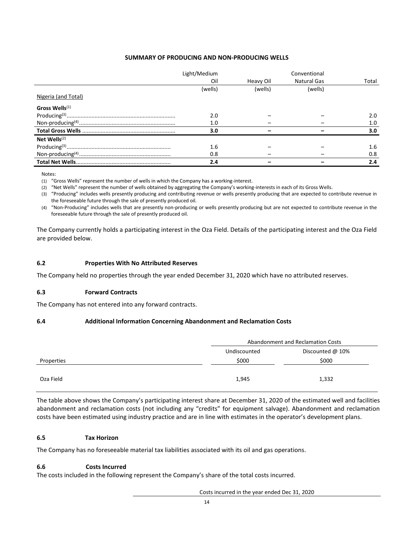#### **SUMMARY OF PRODUCING AND NON-PRODUCING WELLS**

|                     | Light/Medium |           | Conventional |       |
|---------------------|--------------|-----------|--------------|-------|
|                     | Oil          | Heavy Oil | Natural Gas  | Total |
|                     | (wells)      | (wells)   | (wells)      |       |
| Nigeria (and Total) |              |           |              |       |
| Gross Wells $(1)$   |              |           |              |       |
|                     | 2.0          |           |              | 2.0   |
|                     | 1.0          |           |              | 1.0   |
|                     | 3.0          |           |              | 3.0   |
| Net Wells $(2)$     |              |           |              |       |
|                     | 1.6          |           |              | 1.6   |
|                     | 0.8          |           |              | 0.8   |
|                     | 2.4          |           |              | 2.4   |

Notes:

(1) "Gross Wells" represent the number of wells in which the Company has a working-interest.

(2) "Net Wells" represent the number of wells obtained by aggregating the Company's working-interests in each of its Gross Wells.

(3) "Producing" includes wells presently producing and contributing revenue or wells presently producing that are expected to contribute revenue in the foreseeable future through the sale of presently produced oil.

(4) "Non-Producing" includes wells that are presently non-producing or wells presently producing but are not expected to contribute revenue in the foreseeable future through the sale of presently produced oil.

The Company currently holds a participating interest in the Oza Field. Details of the participating interest and the Oza Field are provided below.

#### <span id="page-14-0"></span>**6.2 Properties With No Attributed Reserves**

The Company held no properties through the year ended December 31, 2020 which have no attributed reserves.

#### <span id="page-14-1"></span>**6.3 Forward Contracts**

The Company has not entered into any forward contracts.

#### <span id="page-14-2"></span>**6.4 Additional Information Concerning Abandonment and Reclamation Costs**

| Abandonment and Reclamation Costs |                  |  |
|-----------------------------------|------------------|--|
| Undiscounted                      | Discounted @ 10% |  |
| \$000                             | \$000            |  |
|                                   |                  |  |
| 1,945                             | 1,332            |  |
|                                   |                  |  |

The table above shows the Company's participating interest share at December 31, 2020 of the estimated well and facilities abandonment and reclamation costs (not including any "credits" for equipment salvage). Abandonment and reclamation costs have been estimated using industry practice and are in line with estimates in the operator's development plans.

#### <span id="page-14-3"></span>**6.5 Tax Horizon**

The Company has no foreseeable material tax liabilities associated with its oil and gas operations.

#### **6.6 Costs Incurred**

The costs included in the following represent the Company's share of the total costs incurred.

Costs incurred in the year ended Dec 31, 2020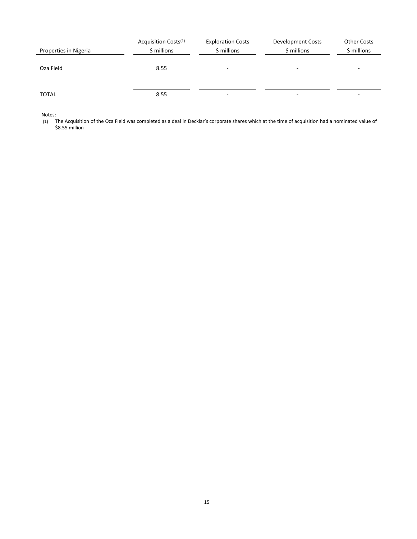| Properties in Nigeria | Acquisition Costs <sup>(1)</sup><br>\$ millions | <b>Exploration Costs</b><br>\$ millions | Development Costs<br>\$ millions | <b>Other Costs</b><br>\$ millions |
|-----------------------|-------------------------------------------------|-----------------------------------------|----------------------------------|-----------------------------------|
| Oza Field             | 8.55                                            | $\overline{a}$                          | $\overline{\phantom{0}}$         |                                   |
| <b>TOTAL</b>          | 8.55                                            | ۰                                       | $\overline{\phantom{0}}$         |                                   |

Notes:

(1) The Acquisition of the Oza Field was completed as a deal in Decklar's corporate shares which at the time of acquisition had a nominated value of \$8.55 million